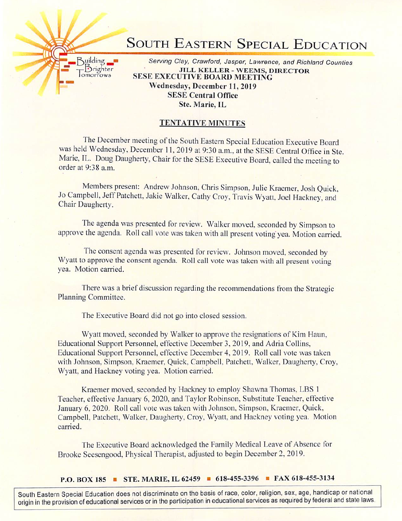## SOUTH EASTERN SPECIAL EDUCATION

Building **Executive Clay, Crawford**, Jasper, Lawrence, and Richland Counties<br>- Brighter **MILL KELLER - WEEMS DIRECTOR** THE THE SERVE TO JULE NEED THE SERVE TO A BOARD MEETING **SESE EXECUTIVE BOARD MEETING** Wednesday, December 11, 2019 SESE Central Office Ste. Marie, IL

## TENTATIVE MINUTES

The December meeting of the South Eastern Special Education Executive Board was held Wednesday. December 11. 2019 at 9:30 a.m.. at the SESE Central Office in Ste. Marie, IL. Doug Daugherty, Chair for the SESE Executive Board, called the meeting to order at 9:38 a.m.

Members present: Andrew Johnson, Chris Simpson, Julie Kraemer, Josh Quick, Jo Campbell, Jeff Patchett, Jakie Walker, Cathy Croy, Travis Wyait. Joel Hackney, and Chair Daugherty.

The agenda was presented for review. Walker moved, seconded by Simpson to approve the agenda. Roll call vote was taken with all present voting'yea. Motion carried.

The consent agenda was presented for review. Johnson moved, seconded by Wyatt to approve the consent agenda. Roll call vote was taken with all present voting yea. Motion carried.

There was a brief discussion regarding the recommendations from the Strategic Planning Committee.

The Executive Board did not go into closed session.

Wyatt moved, seconded by Walker to approve the resignations of Kim Haun. Educational Support Personnel, effective December 3, 2019, and Adria Collins. Educational Support Personnel, effective December 4. 2019. Roll call vote was taken with Johnson, Simpson, Kraemer, Quick, Campbell, Patchett, Walker, Daugherty, Croy, Wyatt, and Hackney voting yea. Motion carried.

Kraemer moved, seconded by Hackney to employ Shawna Thomas. LBS 1 Teacher, effective January 6. 2020. and Taylor Robinson. Substitute Teacher, effective January 6, 2020. Roll call vote was taken with Johnson. Simpson. Kraemer. Quick, Campbell, Patchett, Walker. Daugherty. Croy, Wyatt. and Hackney voting yea. Motion carried.

The Executive Board acknowledged the Family Medical Leave of Absence for Brooke Seesengood. Physical Therapist, adjusted to begin December 2. 2019.

P.O. BOX 185 ■ STE. MARIE, IL 62459 ■ 618-455-3396 ■ FAX 618-455-3134

South Eastern Special Education does not discriminate on the basis of race, color, religion, sex, age, handicap or national origin in the provision of educational services or in the participation in educational services as required by federal and state laws.